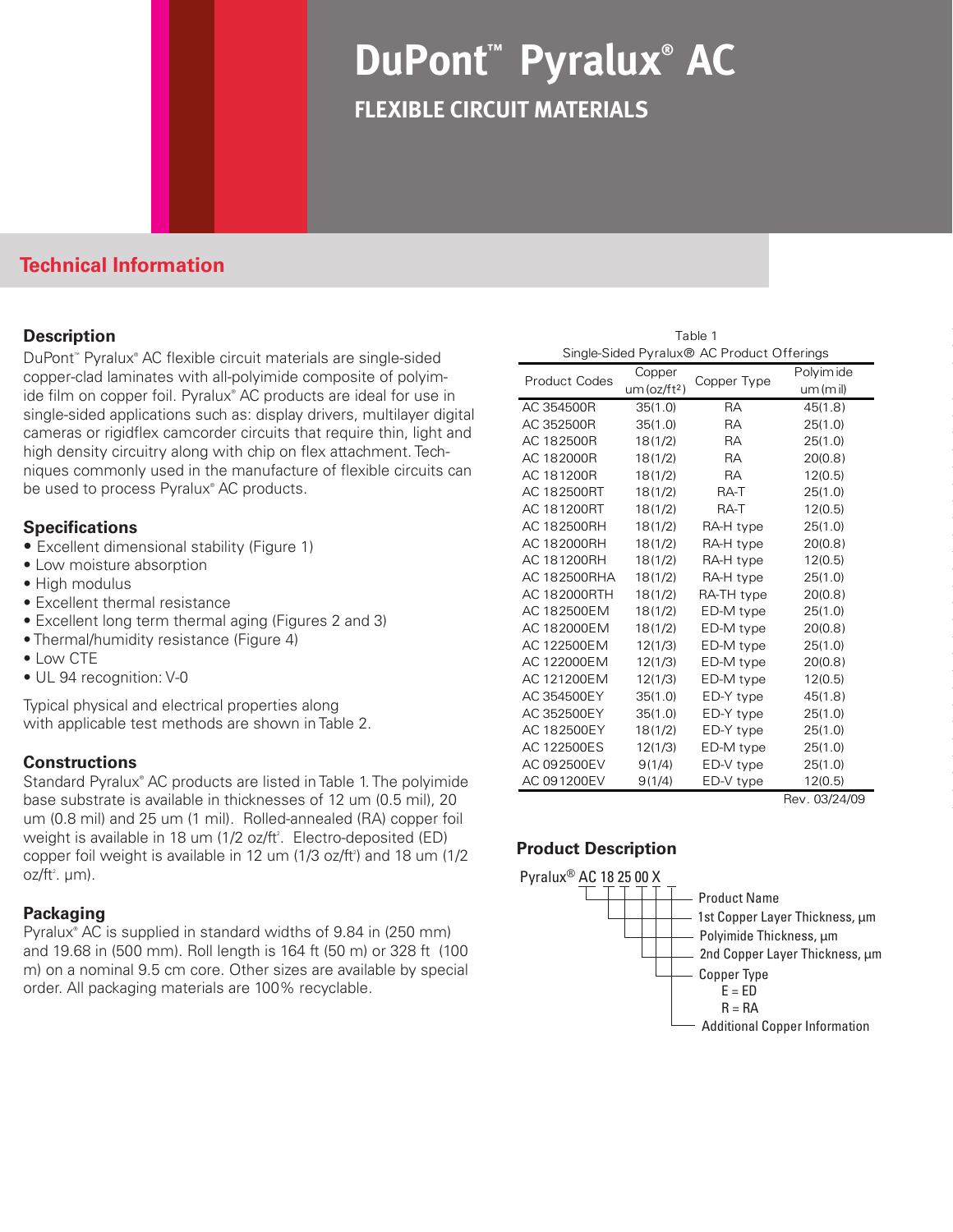# **DuPont™ Pyralux® AC flexible circuit materials**

## **Technical Information**

### **Description**

DuPont™ Pyralux® AC flexible circuit materials are single-sided copper-clad laminates with all-polyimide composite of polyimide film on copper foil. Pyralux® AC products are ideal for use in single-sided applications such as: display drivers, multilayer digital cameras or rigidflex camcorder circuits that require thin, light and high density circuitry along with chip on flex attachment. Techniques commonly used in the manufacture of flexible circuits can be used to process Pyralux<sup>®</sup> AC products.

### **Specifications**

- Excellent dimensional stability (Figure 1)
- Low moisture absorption
- High modulus
- Excellent thermal resistance
- Excellent long term thermal aging (Figures 2 and 3)
- Thermal/humidity resistance (Figure 4)
- Low CTE
- UL 94 recognition: V-0

Typical physical and electrical properties along with applicable test methods are shown in Table 2.

## **Constructions**

Standard Pyralux® AC products are listed in Table 1. The polyimide base substrate is available in thicknesses of 12 um (0.5 mil), 20 um (0.8 mil) and 25 um (1 mil). Rolled-annealed (RA) copper foil weight is available in 18 um (1/2 oz/ft<sup>2</sup>. Electro-deposited (ED) copper foil weight is available in 12 um  $(1/3 \text{ oz/ft}^2)$  and 18 um  $(1/2 \text{ oz/ft}^2)$ oz/ft². µm).

### **Packaging**

Pyralux® AC is supplied in standard widths of 9.84 in (250 mm) and 19.68 in (500 mm). Roll length is 164 ft (50 m) or 328 ft (100 m) on a nominal 9.5 cm core. Other sizes are available by special order. All packaging materials are 100% recyclable.

| Table 1                                                |
|--------------------------------------------------------|
| Single-Sided Pyralux <sup>®</sup> AC Product Offerings |

| <b>Product Codes</b> | Copper                   |             | Polyimide |
|----------------------|--------------------------|-------------|-----------|
|                      | um (oz/ft <sup>2</sup> ) | Copper Type | um(mil)   |
| AC 354500R           | 35(1.0)                  | <b>RA</b>   | 45(1.8)   |
| AC 352500R           | 35(1.0)                  | <b>RA</b>   | 25(1.0)   |
| AC 182500R           | 18(1/2)                  | <b>RA</b>   | 25(1.0)   |
| AC 182000R           | 18(1/2)                  | <b>RA</b>   | 20(0.8)   |
| AC 181200R           | 18(1/2)                  | <b>RA</b>   | 12(0.5)   |
| AC 182500RT          | 18(1/2)                  | RA-T        | 25(1.0)   |
| AC 181200RT          | 18(1/2)                  | RA-T        | 12(0.5)   |
| AC 182500RH          | 18(1/2)                  | RA-H type   | 25(1.0)   |
| AC 182000RH          | 18(1/2)                  | RA-H type   | 20(0.8)   |
| AC 181200RH          | 18(1/2)                  | RA-H type   | 12(0.5)   |
| AC 182500RHA         | 18(1/2)                  | RA-H type   | 25(1.0)   |
| AC 182000RTH         | 18(1/2)                  | RA-TH type  | 20(0.8)   |
| AC 182500EM          | 18(1/2)                  | ED-M type   | 25(1.0)   |
| AC 182000EM          | 18(1/2)                  | ED-M type   | 20(0.8)   |
| AC 122500EM          | 12(1/3)                  | ED-M type   | 25(1.0)   |
| AC 122000EM          | 12(1/3)                  | ED-M type   | 20(0.8)   |
| AC 121200EM          | 12(1/3)                  | ED-M type   | 12(0.5)   |
| AC 354500EY          | 35(1.0)                  | ED-Y type   | 45(1.8)   |
| AC 352500EY          | 35(1.0)                  | ED-Y type   | 25(1.0)   |
| AC 182500EY          | 18(1/2)                  | ED-Y type   | 25(1.0)   |
| AC 122500ES          | 12(1/3)                  | ED-M type   | 25(1.0)   |
| AC 092500EV          | 9(1/4)                   | ED-V type   | 25(1.0)   |
| AC 091200EV          | 9(1/4)                   | ED-V type   | 12(0.5)   |

Rev. 03/24/09

## **Product Description**

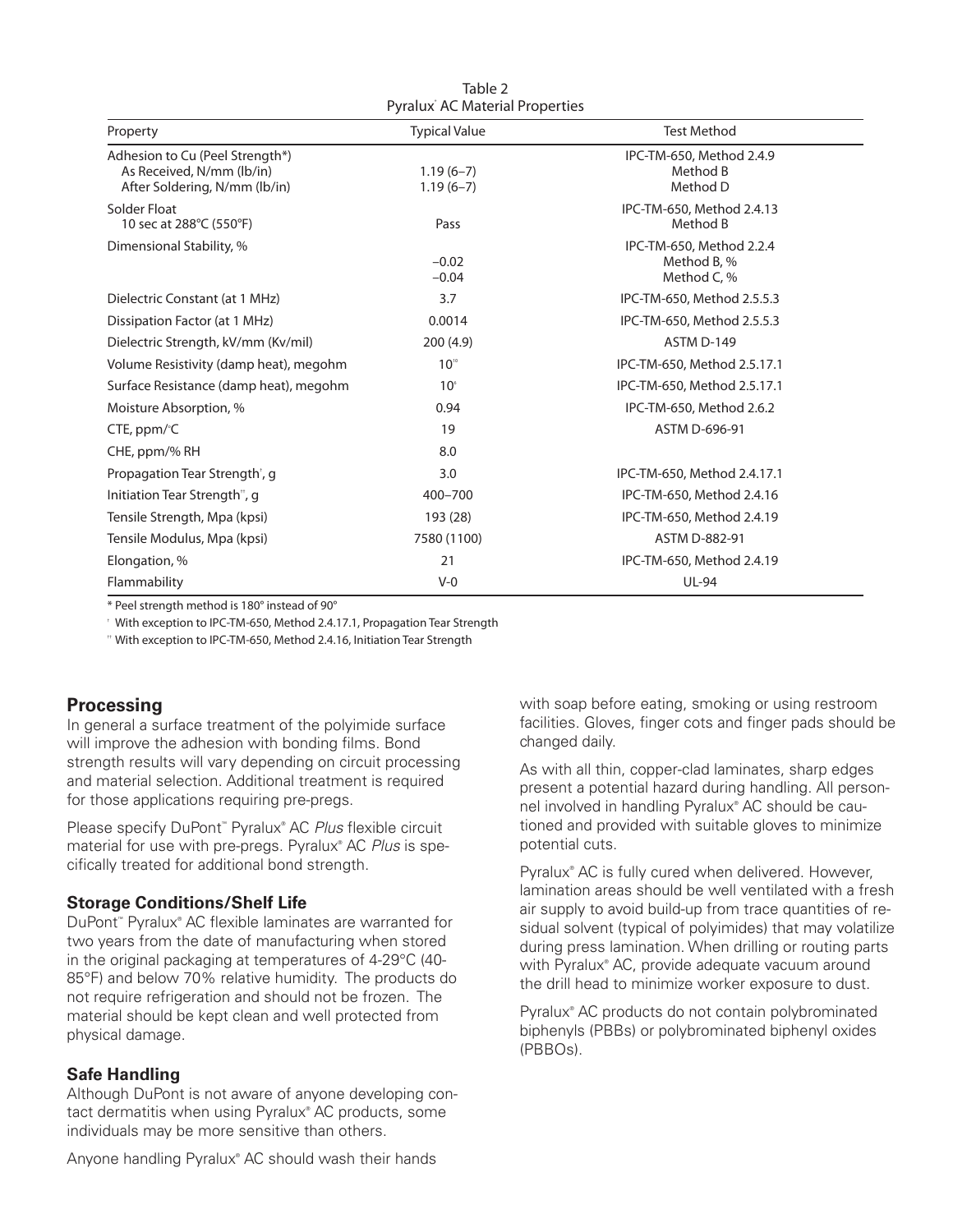| Pyralux AC Material Properties                                                                |                            |                                                        |  |  |
|-----------------------------------------------------------------------------------------------|----------------------------|--------------------------------------------------------|--|--|
| Property                                                                                      | <b>Typical Value</b>       | <b>Test Method</b>                                     |  |  |
| Adhesion to Cu (Peel Strength*)<br>As Received, N/mm (lb/in)<br>After Soldering, N/mm (lb/in) | $1.19(6-7)$<br>$1.19(6-7)$ | IPC-TM-650, Method 2.4.9<br>Method B<br>Method D       |  |  |
| Solder Float<br>10 sec at 288°C (550°F)                                                       | Pass                       | IPC-TM-650, Method 2.4.13<br>Method B                  |  |  |
| Dimensional Stability, %                                                                      | $-0.02$<br>$-0.04$         | IPC-TM-650, Method 2.2.4<br>Method B, %<br>Method C, % |  |  |
| Dielectric Constant (at 1 MHz)                                                                | 3.7                        | IPC-TM-650, Method 2.5.5.3                             |  |  |
| Dissipation Factor (at 1 MHz)                                                                 | 0.0014                     | IPC-TM-650, Method 2.5.5.3                             |  |  |
| Dielectric Strength, kV/mm (Kv/mil)                                                           | 200(4.9)                   | ASTM D-149                                             |  |  |
| Volume Resistivity (damp heat), megohm                                                        | $10^{10}$                  | IPC-TM-650, Method 2.5.17.1                            |  |  |
| Surface Resistance (damp heat), megohm                                                        | 10 <sup>°</sup>            | IPC-TM-650, Method 2.5.17.1                            |  |  |
| Moisture Absorption, %                                                                        | 0.94                       | IPC-TM-650, Method 2.6.2                               |  |  |
| CTE, ppm/°C                                                                                   | 19                         | ASTM D-696-91                                          |  |  |
| CHE, ppm/% RH                                                                                 | 8.0                        |                                                        |  |  |
| Propagation Tear Strength <sup>†</sup> , g                                                    | 3.0                        | IPC-TM-650, Method 2.4.17.1                            |  |  |
| Initiation Tear Strength <sup>"</sup> , g                                                     | 400-700                    | IPC-TM-650, Method 2.4.16                              |  |  |
| Tensile Strength, Mpa (kpsi)                                                                  | 193 (28)                   | IPC-TM-650, Method 2.4.19                              |  |  |
| Tensile Modulus, Mpa (kpsi)                                                                   | 7580 (1100)                | ASTM D-882-91                                          |  |  |
| Elongation, %                                                                                 | 21                         | IPC-TM-650, Method 2.4.19                              |  |  |
| Flammability                                                                                  | $V-0$                      | <b>UL-94</b>                                           |  |  |

Table 2

\* Peel strength method is 180° instead of 90°

† With exception to IPC-TM-650, Method 2.4.17.1, Propagation Tear Strength

†† With exception to IPC-TM-650, Method 2.4.16, Initiation Tear Strength

## **Processing**

In general a surface treatment of the polyimide surface will improve the adhesion with bonding films. Bond strength results will vary depending on circuit processing and material selection. Additional treatment is required for those applications requiring pre-pregs.

Please specify DuPont<sup>™</sup> Pyralux® AC Plus flexible circuit material for use with pre-pregs. Pyralux® AC *Plus* is specifically treated for additional bond strength.

## **Storage Conditions/Shelf Life**

DuPont<sup>™</sup> Pyralux® AC flexible laminates are warranted for two years from the date of manufacturing when stored in the original packaging at temperatures of 4-29°C (40- 85°F) and below 70% relative humidity. The products do not require refrigeration and should not be frozen. The material should be kept clean and well protected from physical damage.

### **Safe Handling**

Although DuPont is not aware of anyone developing contact dermatitis when using Pyralux® AC products, some individuals may be more sensitive than others.

with soap before eating, smoking or using restroom facilities. Gloves, finger cots and finger pads should be changed daily.

As with all thin, copper-clad laminates, sharp edges present a potential hazard during handling. All personnel involved in handling Pyralux® AC should be cautioned and provided with suitable gloves to minimize potential cuts.

Pyralux® AC is fully cured when delivered. However, lamination areas should be well ventilated with a fresh air supply to avoid build-up from trace quantities of residual solvent (typical of polyimides) that may volatilize during press lamination. When drilling or routing parts with Pyralux® AC, provide adequate vacuum around the drill head to minimize worker exposure to dust.

Pyralux® AC products do not contain polybrominated biphenyls (PBBs) or polybrominated biphenyl oxides (PBBOs).

Anyone handling Pyralux® AC should wash their hands